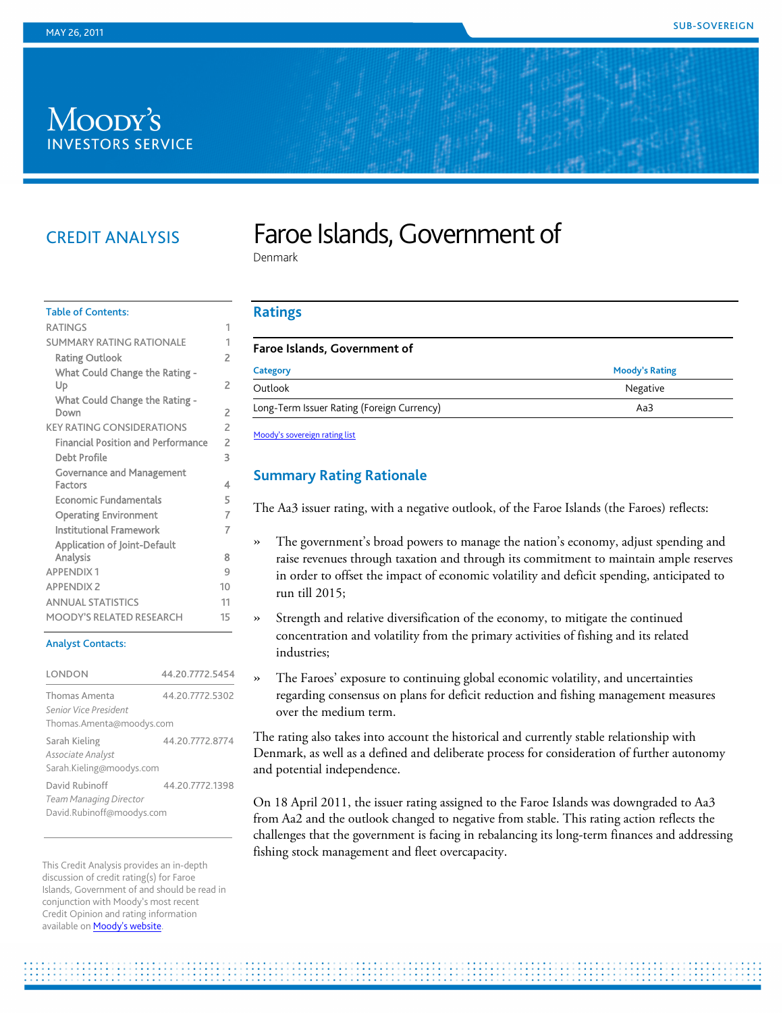# Moody's **INVESTORS SERVICE**

# CREDIT ANALYSIS

# Faroe Islands, Government of

Denmark

# Table of Contents:

| <b>RATINGS</b>                            | 1  |
|-------------------------------------------|----|
|                                           |    |
| <b>SUMMARY RATING RATIONALE</b>           | 1  |
| Rating Outlook                            | 2  |
| What Could Change the Rating -<br>Up      | 2  |
| What Could Change the Rating -<br>Down    | 2  |
| KEY RATING CONSIDERATIONS                 | 2  |
| <b>Financial Position and Performance</b> | 2  |
| Debt Profile                              | 3  |
| Governance and Management                 |    |
| Factors                                   | 4  |
| <b>Economic Fundamentals</b>              | 5  |
| <b>Operating Environment</b>              | 7  |
| <b>Institutional Framework</b>            | 7  |
| <b>Application of Joint-Default</b>       |    |
| Analysis                                  | 8  |
| <b>APPFNDIX1</b>                          | 9  |
| <b>APPENDIX 2</b>                         | 10 |
| <b>ANNUAL STATISTICS</b>                  | 11 |
| <b>MOODY'S RELATED RESEARCH</b>           | 15 |

#### Analyst Contacts:

| LONDON                                                                | 44.20.7772.5454 |
|-----------------------------------------------------------------------|-----------------|
| Thomas Amenta<br>Senior Vice President<br>Thomas.Amenta@moodys.com    | 44 20 7772 5302 |
| Sarah Kieling<br>Associate Analyst<br>Sarah.Kieling@moodys.com        | 44 20 7772 8774 |
| David Rubinoff<br>Team Managing Director<br>David.Rubinoff@moodys.com | 44 20 7772 1398 |

This Credit Analysis provides an in-depth discussion of credit rating(s) for Faroe Islands, Government of and should be read in conjunction with Moody's most recent Credit Opinion and rating information available on **Moody's website** 

# <span id="page-0-0"></span>**Ratings**

#### **Faroe Islands, Government of**

| Category                                   | <b>Moody's Rating</b> |
|--------------------------------------------|-----------------------|
| Outlook                                    | Negative              |
| Long-Term Issuer Rating (Foreign Currency) | Aa3                   |

<span id="page-0-1"></span>[Moody's sovereign rating list](http://www.moodys.com/moodys/cust/content/loadcontent.aspx?source=StaticContent/BusinessLines/Sovereign-SubSovereign/RatingsListGBR.htm&Param=ALL)

# **Summary Rating Rationale**

The Aa3 issuer rating, with a negative outlook, of the Faroe Islands (the Faroes) reflects:

- » The government's broad powers to manage the nation's economy, adjust spending and raise revenues through taxation and through its commitment to maintain ample reserves in order to offset the impact of economic volatility and deficit spending, anticipated to run till 2015;
- » Strength and relative diversification of the economy, to mitigate the continued concentration and volatility from the primary activities of fishing and its related industries;
- » The Faroes' exposure to continuing global economic volatility, and uncertainties regarding consensus on plans for deficit reduction and fishing management measures over the medium term.

The rating also takes into account the historical and currently stable relationship with Denmark, as well as a defined and deliberate process for consideration of further autonomy and potential independence.

On 18 April 2011, the issuer rating assigned to the Faroe Islands was downgraded to Aa3 from Aa2 and the outlook changed to negative from stable. This rating action reflects the challenges that the government is facing in rebalancing its long-term finances and addressing fishing stock management and fleet overcapacity.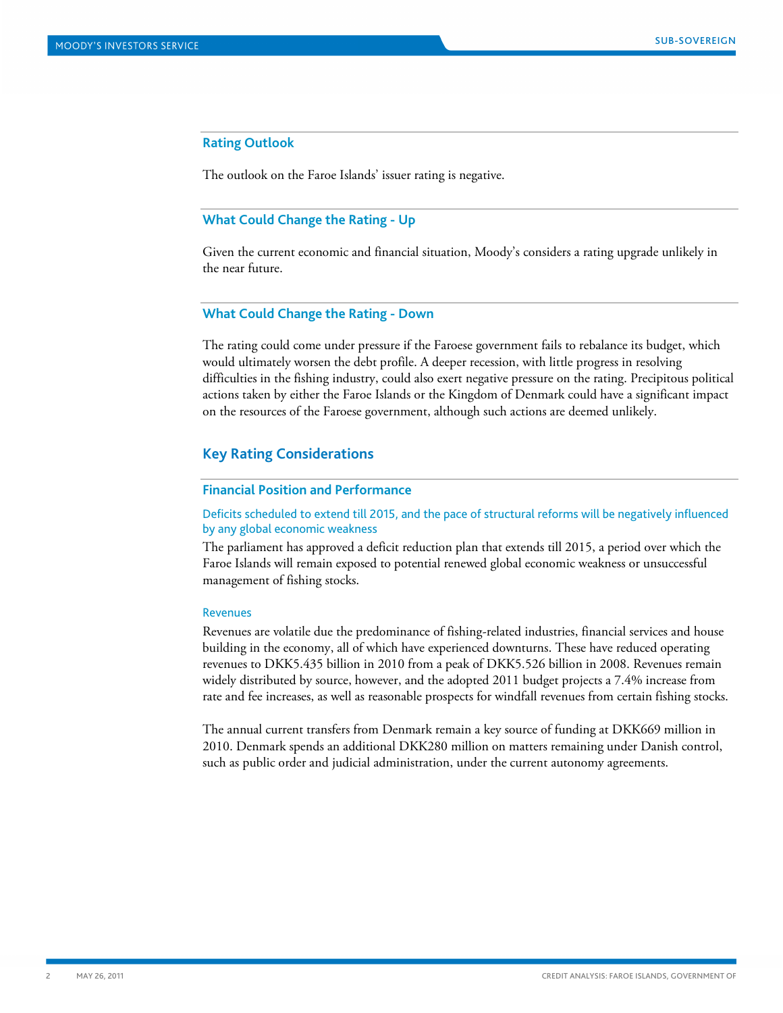# <span id="page-1-0"></span>**Rating Outlook**

The outlook on the Faroe Islands' issuer rating is negative.

#### <span id="page-1-1"></span>**What Could Change the Rating - Up**

Given the current economic and financial situation, Moody's considers a rating upgrade unlikely in the near future.

#### <span id="page-1-2"></span>**What Could Change the Rating - Down**

The rating could come under pressure if the Faroese government fails to rebalance its budget, which would ultimately worsen the debt profile. A deeper recession, with little progress in resolving difficulties in the fishing industry, could also exert negative pressure on the rating. Precipitous political actions taken by either the Faroe Islands or the Kingdom of Denmark could have a significant impact on the resources of the Faroese government, although such actions are deemed unlikely.

# <span id="page-1-3"></span>**Key Rating Considerations**

#### <span id="page-1-4"></span>**Financial Position and Performance**

Deficits scheduled to extend till 2015, and the pace of structural reforms will be negatively influenced by any global economic weakness

The parliament has approved a deficit reduction plan that extends till 2015, a period over which the Faroe Islands will remain exposed to potential renewed global economic weakness or unsuccessful management of fishing stocks.

#### Revenues

Revenues are volatile due the predominance of fishing-related industries, financial services and house building in the economy, all of which have experienced downturns. These have reduced operating revenues to DKK5.435 billion in 2010 from a peak of DKK5.526 billion in 2008. Revenues remain widely distributed by source, however, and the adopted 2011 budget projects a 7.4% increase from rate and fee increases, as well as reasonable prospects for windfall revenues from certain fishing stocks.

The annual current transfers from Denmark remain a key source of funding at DKK669 million in 2010. Denmark spends an additional DKK280 million on matters remaining under Danish control, such as public order and judicial administration, under the current autonomy agreements.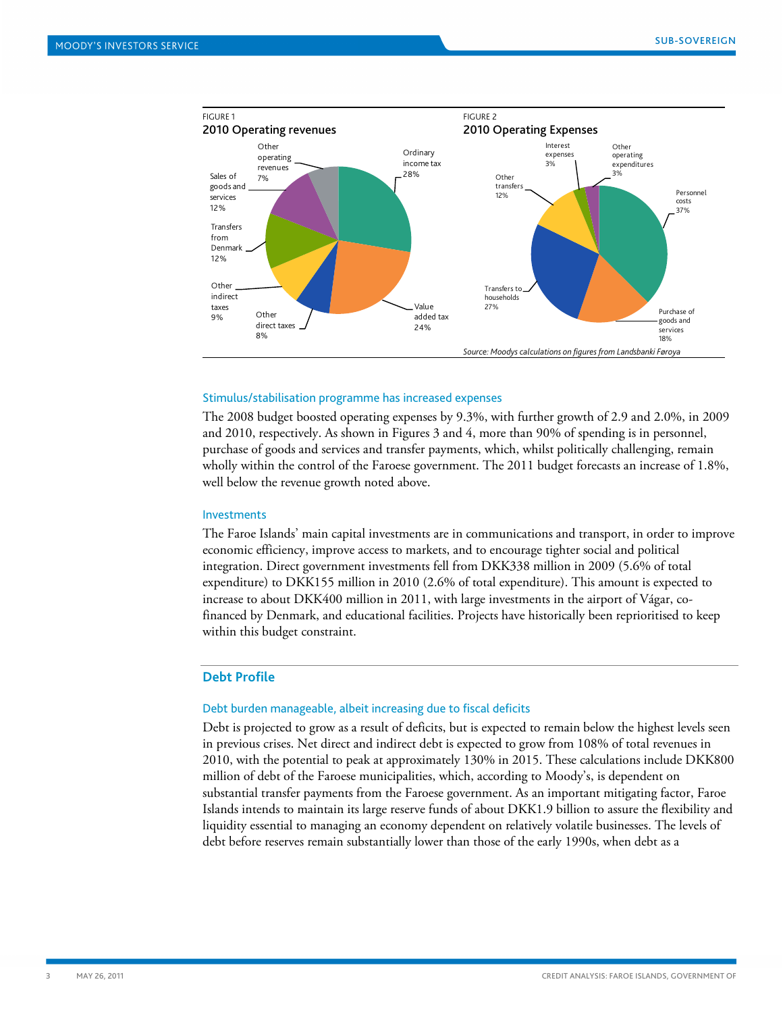

#### Stimulus/stabilisation programme has increased expenses

The 2008 budget boosted operating expenses by 9.3%, with further growth of 2.9 and 2.0%, in 2009 and 2010, respectively. As shown in Figures 3 and 4, more than 90% of spending is in personnel, purchase of goods and services and transfer payments, which, whilst politically challenging, remain wholly within the control of the Faroese government. The 2011 budget forecasts an increase of 1.8%, well below the revenue growth noted above.

#### Investments

The Faroe Islands' main capital investments are in communications and transport, in order to improve economic efficiency, improve access to markets, and to encourage tighter social and political integration. Direct government investments fell from DKK338 million in 2009 (5.6% of total expenditure) to DKK155 million in 2010 (2.6% of total expenditure). This amount is expected to increase to about DKK400 million in 2011, with large investments in the airport of Vágar, cofinanced by Denmark, and educational facilities. Projects have historically been reprioritised to keep within this budget constraint.

# <span id="page-2-0"></span>**Debt Profile**

#### Debt burden manageable, albeit increasing due to fiscal deficits

Debt is projected to grow as a result of deficits, but is expected to remain below the highest levels seen in previous crises. Net direct and indirect debt is expected to grow from 108% of total revenues in 2010, with the potential to peak at approximately 130% in 2015. These calculations include DKK800 million of debt of the Faroese municipalities, which, according to Moody's, is dependent on substantial transfer payments from the Faroese government. As an important mitigating factor, Faroe Islands intends to maintain its large reserve funds of about DKK1.9 billion to assure the flexibility and liquidity essential to managing an economy dependent on relatively volatile businesses. The levels of debt before reserves remain substantially lower than those of the early 1990s, when debt as a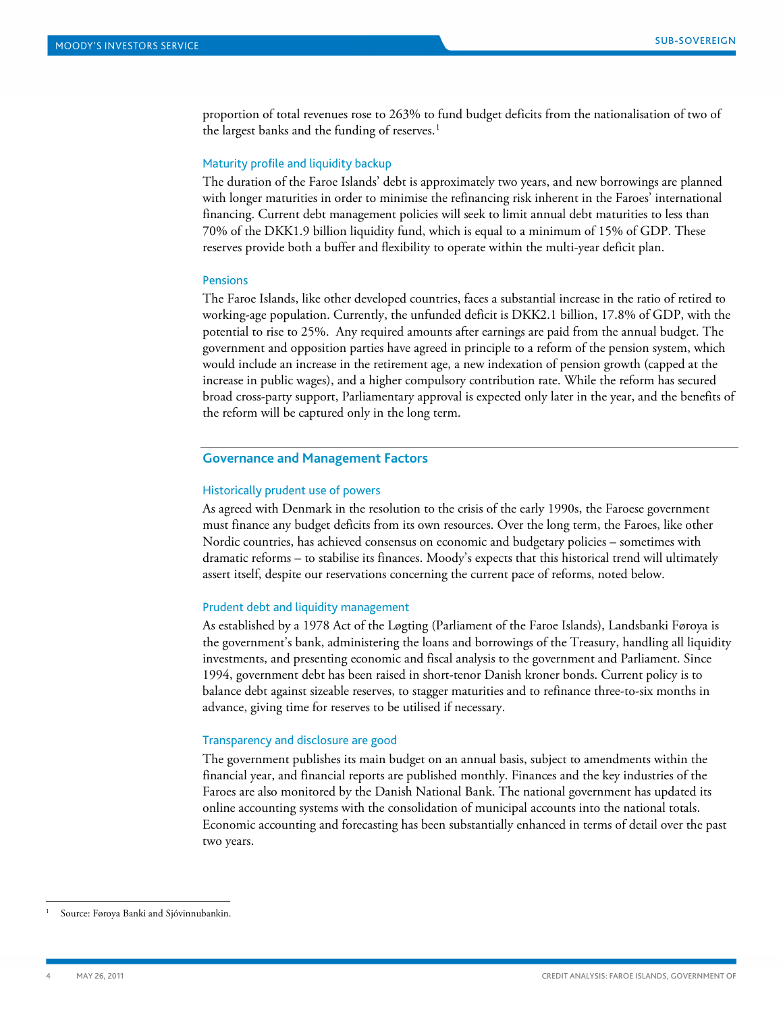proportion of total revenues rose to 263% to fund budget deficits from the nationalisation of two of the largest banks and the funding of reserves. [1](#page-3-1)

#### Maturity profile and liquidity backup

The duration of the Faroe Islands' debt is approximately two years, and new borrowings are planned with longer maturities in order to minimise the refinancing risk inherent in the Faroes' international financing. Current debt management policies will seek to limit annual debt maturities to less than 70% of the DKK1.9 billion liquidity fund, which is equal to a minimum of 15% of GDP. These reserves provide both a buffer and flexibility to operate within the multi-year deficit plan.

#### Pensions

The Faroe Islands, like other developed countries, faces a substantial increase in the ratio of retired to working-age population. Currently, the unfunded deficit is DKK2.1 billion, 17.8% of GDP, with the potential to rise to 25%. Any required amounts after earnings are paid from the annual budget. The government and opposition parties have agreed in principle to a reform of the pension system, which would include an increase in the retirement age, a new indexation of pension growth (capped at the increase in public wages), and a higher compulsory contribution rate. While the reform has secured broad cross-party support, Parliamentary approval is expected only later in the year, and the benefits of the reform will be captured only in the long term.

#### <span id="page-3-0"></span>**Governance and Management Factors**

#### Historically prudent use of powers

As agreed with Denmark in the resolution to the crisis of the early 1990s, the Faroese government must finance any budget deficits from its own resources. Over the long term, the Faroes, like other Nordic countries, has achieved consensus on economic and budgetary policies – sometimes with dramatic reforms – to stabilise its finances. Moody's expects that this historical trend will ultimately assert itself, despite our reservations concerning the current pace of reforms, noted below.

#### Prudent debt and liquidity management

As established by a 1978 Act of the Løgting (Parliament of the Faroe Islands), Landsbanki Føroya is the government's bank, administering the loans and borrowings of the Treasury, handling all liquidity investments, and presenting economic and fiscal analysis to the government and Parliament. Since 1994, government debt has been raised in short-tenor Danish kroner bonds. Current policy is to balance debt against sizeable reserves, to stagger maturities and to refinance three-to-six months in advance, giving time for reserves to be utilised if necessary.

#### Transparency and disclosure are good

The government publishes its main budget on an annual basis, subject to amendments within the financial year, and financial reports are published monthly. Finances and the key industries of the Faroes are also monitored by the Danish National Bank. The national government has updated its online accounting systems with the consolidation of municipal accounts into the national totals. Economic accounting and forecasting has been substantially enhanced in terms of detail over the past two years.

<span id="page-3-1"></span>Source: Føroya Banki and Sjóvinnubankin.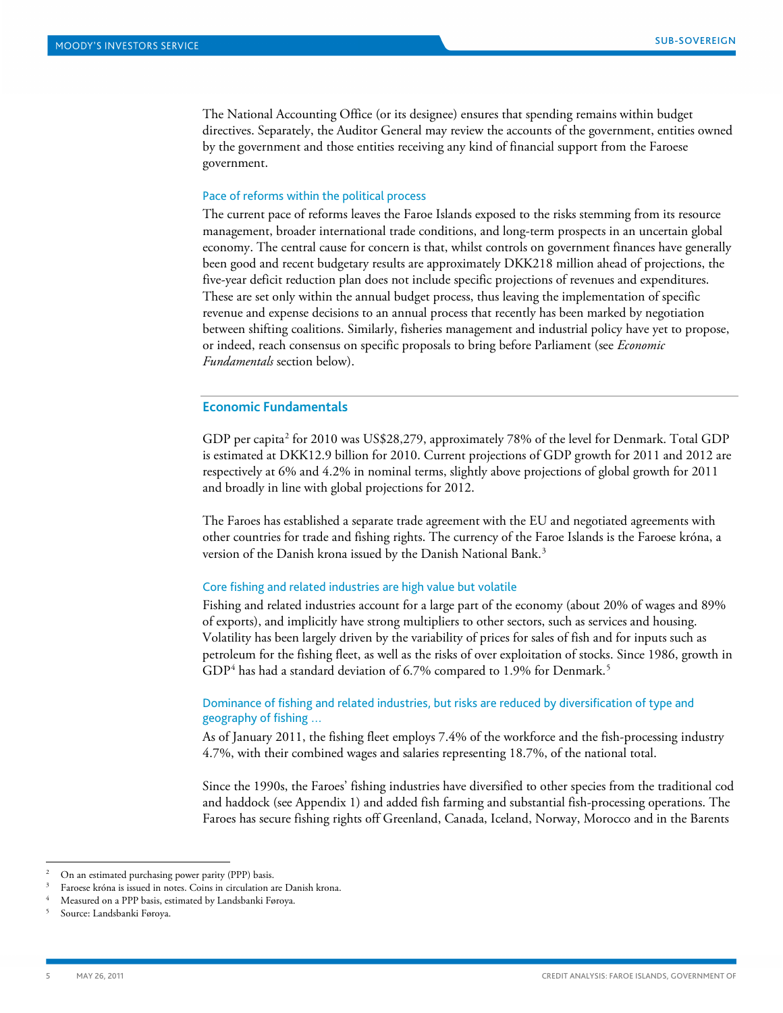The National Accounting Office (or its designee) ensures that spending remains within budget directives. Separately, the Auditor General may review the accounts of the government, entities owned by the government and those entities receiving any kind of financial support from the Faroese government.

#### Pace of reforms within the political process

The current pace of reforms leaves the Faroe Islands exposed to the risks stemming from its resource management, broader international trade conditions, and long-term prospects in an uncertain global economy. The central cause for concern is that, whilst controls on government finances have generally been good and recent budgetary results are approximately DKK218 million ahead of projections, the five-year deficit reduction plan does not include specific projections of revenues and expenditures. These are set only within the annual budget process, thus leaving the implementation of specific revenue and expense decisions to an annual process that recently has been marked by negotiation between shifting coalitions. Similarly, fisheries management and industrial policy have yet to propose, or indeed, reach consensus on specific proposals to bring before Parliament (see *Economic Fundamentals* section below).

#### <span id="page-4-0"></span>**Economic Fundamentals**

GDP per capita<sup>[2](#page-4-1)</sup> for 2010 was US\$28,279, approximately 78% of the level for Denmark. Total GDP is estimated at DKK12.9 billion for 2010. Current projections of GDP growth for 2011 and 2012 are respectively at 6% and 4.2% in nominal terms, slightly above projections of global growth for 2011 and broadly in line with global projections for 2012.

The Faroes has established a separate trade agreement with the EU and negotiated agreements with other countries for trade and fishing rights. The currency of the Faroe Islands is the Faroese króna, a version of the Danish krona issued by the Danish National Bank.<sup>[3](#page-4-2)</sup>

#### Core fishing and related industries are high value but volatile

Fishing and related industries account for a large part of the economy (about 20% of wages and 89% of exports), and implicitly have strong multipliers to other sectors, such as services and housing. Volatility has been largely driven by the variability of prices for sales of fish and for inputs such as petroleum for the fishing fleet, as well as the risks of over exploitation of stocks. Since 1986, growth in  $GDP<sup>4</sup>$  $GDP<sup>4</sup>$  $GDP<sup>4</sup>$  has had a standard deviation of 6.7% compared to 1.9% for Denmark.<sup>[5](#page-4-4)</sup>

# Dominance of fishing and related industries, but risks are reduced by diversification of type and geography of fishing …

As of January 2011, the fishing fleet employs 7.4% of the workforce and the fish-processing industry 4.7%, with their combined wages and salaries representing 18.7%, of the national total.

Since the 1990s, the Faroes' fishing industries have diversified to other species from the traditional cod and haddock (see Appendix 1) and added fish farming and substantial fish-processing operations. The Faroes has secure fishing rights off Greenland, Canada, Iceland, Norway, Morocco and in the Barents

<span id="page-4-1"></span> <sup>2</sup> On an estimated purchasing power parity (PPP) basis.

<span id="page-4-2"></span><sup>3</sup> Faroese króna is issued in notes. Coins in circulation are Danish krona.

<span id="page-4-3"></span>Measured on a PPP basis, estimated by Landsbanki Føroya.

<span id="page-4-4"></span><sup>5</sup> Source: Landsbanki Føroya.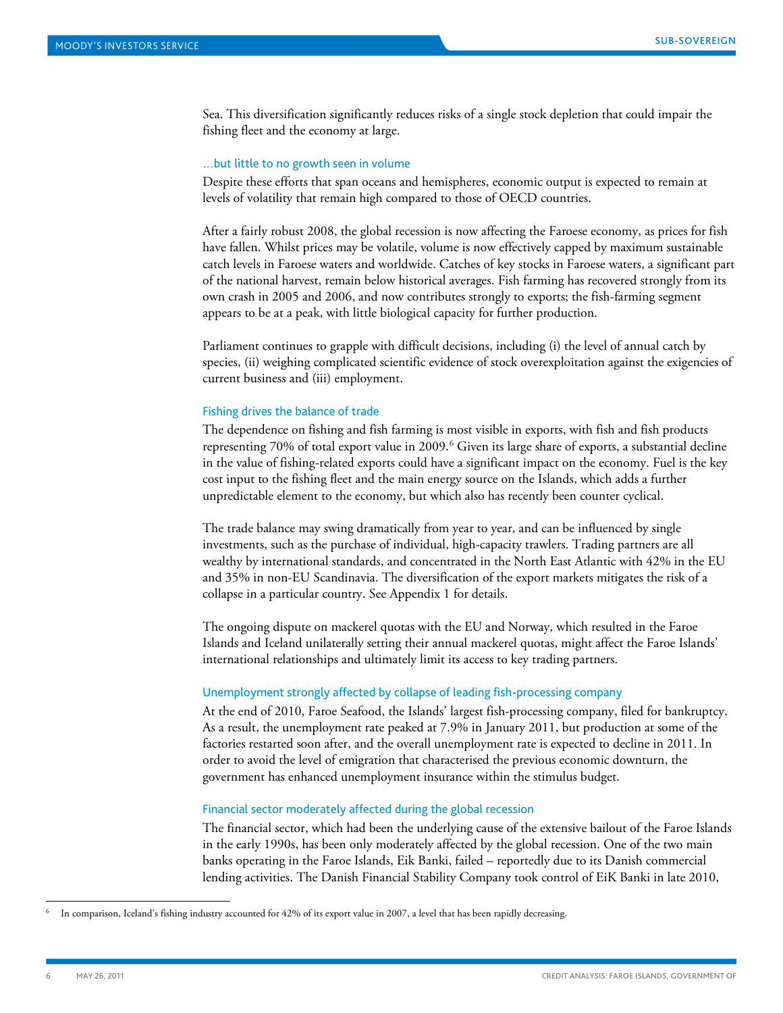Sea. This diversification significantly reduces risks of a single stock depletion that could impair the fishing fleet and the economy at large.

#### …but little to no growth seen in volume

Despite these efforts that span oceans and hemispheres, economic output is expected to remain at levels of volatility that remain high compared to those of OECD countries.

After a fairly robust 2008, the global recession is now affecting the Faroese economy, as prices for fish have fallen. Whilst prices may be volatile, volume is now effectively capped by maximum sustainable catch levels in Faroese waters and worldwide. Catches of key stocks in Faroese waters, a significant part of the national harvest, remain below historical averages. Fish farming has recovered strongly from its own crash in 2005 and 2006, and now contributes strongly to exports; the fish-farming segment appears to be at a peak, with little biological capacity for further production.

Parliament continues to grapple with difficult decisions, including (i) the level of annual catch by species, (ii) weighing complicated scientific evidence of stock overexploitation against the exigencies of current business and (iii) employment.

#### Fishing drives the balance of trade

The dependence on fishing and fish farming is most visible in exports, with fish and fish products representing 70% of total export value in 2009.<sup>[6](#page-5-0)</sup> Given its large share of exports, a substantial decline in the value of fishing-related exports could have a significant impact on the economy. Fuel is the key cost input to the fishing fleet and the main energy source on the Islands, which adds a further unpredictable element to the economy, but which also has recently been counter cyclical.

The trade balance may swing dramatically from year to year, and can be influenced by single investments, such as the purchase of individual, high-capacity trawlers. Trading partners are all wealthy by international standards, and concentrated in the North East Atlantic with 42% in the EU and 35% in non-EU Scandinavia. The diversification of the export markets mitigates the risk of a collapse in a particular country. See Appendix 1 for details.

The ongoing dispute on mackerel quotas with the EU and Norway, which resulted in the Faroe Islands and Iceland unilaterally setting their annual mackerel quotas, might affect the Faroe Islands' international relationships and ultimately limit its access to key trading partners.

#### Unemployment strongly affected by collapse of leading fish-processing company

At the end of 2010, Faroe Seafood, the Islands' largest fish-processing company, filed for bankruptcy. As a result, the unemployment rate peaked at 7.9% in January 2011, but production at some of the factories restarted soon after, and the overall unemployment rate is expected to decline in 2011. In order to avoid the level of emigration that characterised the previous economic downturn, the government has enhanced unemployment insurance within the stimulus budget.

#### Financial sector moderately affected during the global recession

The financial sector, which had been the underlying cause of the extensive bailout of the Faroe Islands in the early 1990s, has been only moderately affected by the global recession. One of the two main banks operating in the Faroe Islands, Eik Banki, failed – reportedly due to its Danish commercial lending activities. The Danish Financial Stability Company took control of EiK Banki in late 2010,

<span id="page-5-0"></span> <sup>6</sup> In comparison, Iceland's fishing industry accounted for 42% of its export value in 2007, a level that has been rapidly decreasing.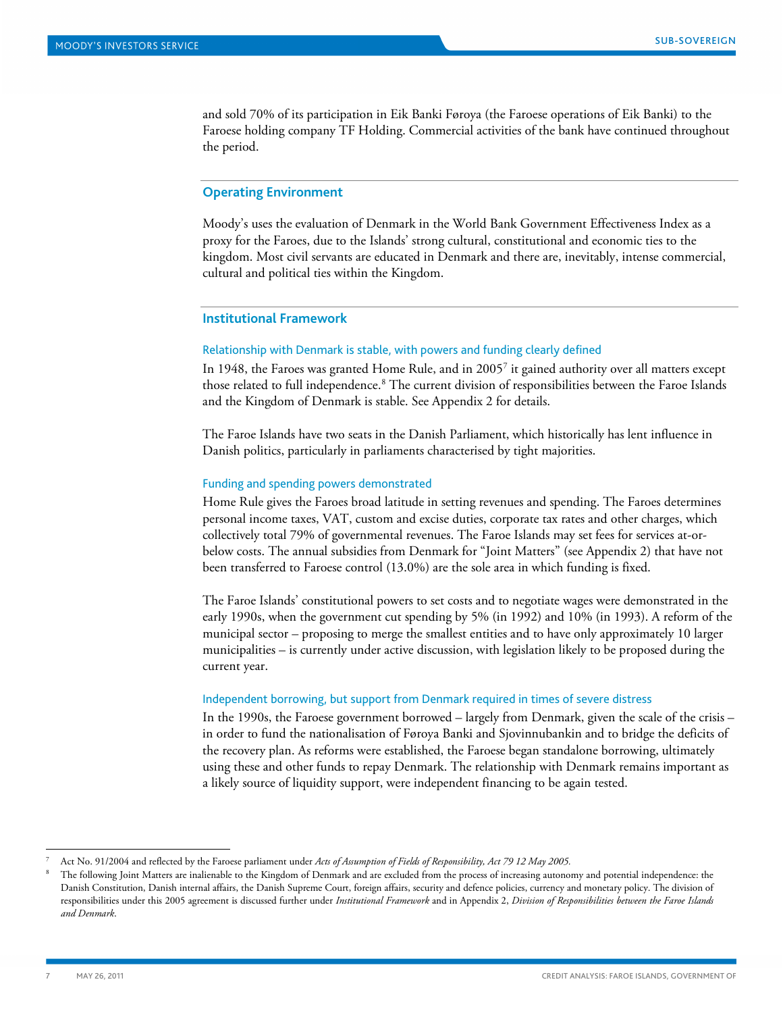and sold 70% of its participation in Eik Banki Føroya (the Faroese operations of Eik Banki) to the Faroese holding company TF Holding. Commercial activities of the bank have continued throughout the period.

#### <span id="page-6-0"></span>**Operating Environment**

Moody's uses the evaluation of Denmark in the World Bank Government Effectiveness Index as a proxy for the Faroes, due to the Islands' strong cultural, constitutional and economic ties to the kingdom. Most civil servants are educated in Denmark and there are, inevitably, intense commercial, cultural and political ties within the Kingdom.

# <span id="page-6-1"></span>**Institutional Framework**

#### Relationship with Denmark is stable, with powers and funding clearly defined

In 1948, the Faroes was granted Home Rule, and in 2005[7](#page-6-2) it gained authority over all matters except those related to full independence.<sup>[8](#page-6-3)</sup> The current division of responsibilities between the Faroe Islands and the Kingdom of Denmark is stable. See Appendix 2 for details.

The Faroe Islands have two seats in the Danish Parliament, which historically has lent influence in Danish politics, particularly in parliaments characterised by tight majorities.

# Funding and spending powers demonstrated

Home Rule gives the Faroes broad latitude in setting revenues and spending. The Faroes determines personal income taxes, VAT, custom and excise duties, corporate tax rates and other charges, which collectively total 79% of governmental revenues. The Faroe Islands may set fees for services at-orbelow costs. The annual subsidies from Denmark for "Joint Matters" (see Appendix 2) that have not been transferred to Faroese control (13.0%) are the sole area in which funding is fixed.

The Faroe Islands' constitutional powers to set costs and to negotiate wages were demonstrated in the early 1990s, when the government cut spending by 5% (in 1992) and 10% (in 1993). A reform of the municipal sector – proposing to merge the smallest entities and to have only approximately 10 larger municipalities – is currently under active discussion, with legislation likely to be proposed during the current year.

#### Independent borrowing, but support from Denmark required in times of severe distress

In the 1990s, the Faroese government borrowed – largely from Denmark, given the scale of the crisis – in order to fund the nationalisation of Føroya Banki and Sjovinnubankin and to bridge the deficits of the recovery plan. As reforms were established, the Faroese began standalone borrowing, ultimately using these and other funds to repay Denmark. The relationship with Denmark remains important as a likely source of liquidity support, were independent financing to be again tested.

<span id="page-6-2"></span> <sup>7</sup> Act No. 91/2004 and reflected by the Faroese parliament under *Acts of Assumption of Fields of Responsibility, Act 79 12 May 2005.*

<span id="page-6-3"></span>The following Joint Matters are inalienable to the Kingdom of Denmark and are excluded from the process of increasing autonomy and potential independence: the Danish Constitution, Danish internal affairs, the Danish Supreme Court, foreign affairs, security and defence policies, currency and monetary policy. The division of responsibilities under this 2005 agreement is discussed further under *Institutional Framework* and in Appendix 2, *Division of Responsibilities between the Faroe Islands and Denmark*.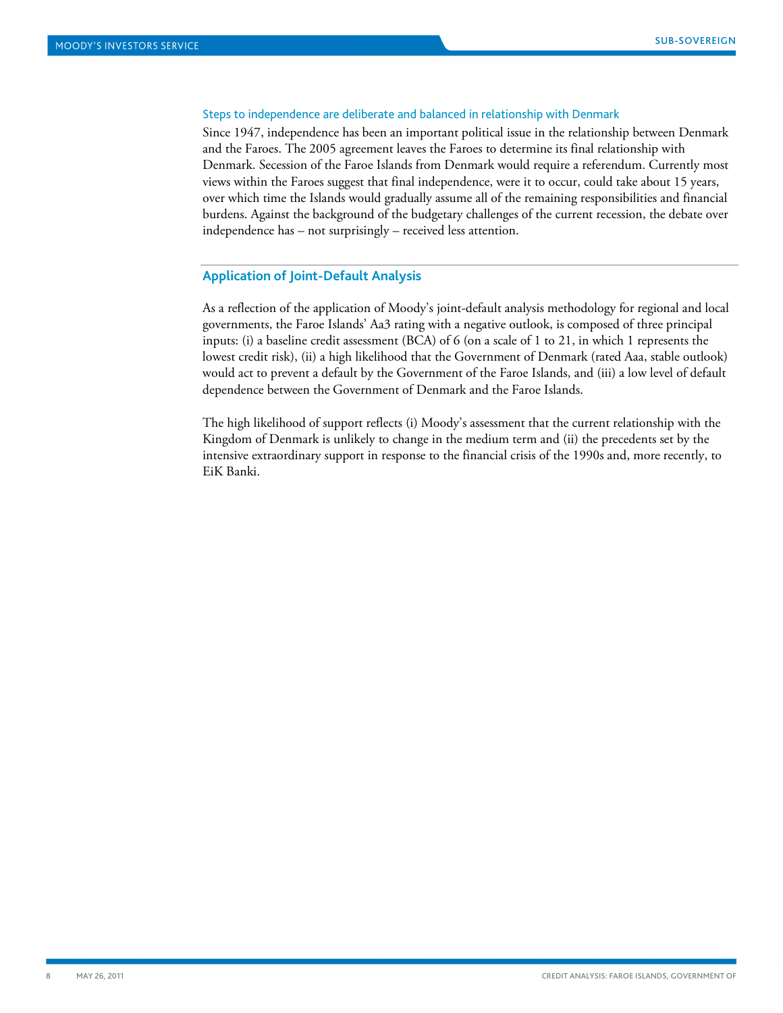#### Steps to independence are deliberate and balanced in relationship with Denmark

Since 1947, independence has been an important political issue in the relationship between Denmark and the Faroes. The 2005 agreement leaves the Faroes to determine its final relationship with Denmark. Secession of the Faroe Islands from Denmark would require a referendum. Currently most views within the Faroes suggest that final independence, were it to occur, could take about 15 years, over which time the Islands would gradually assume all of the remaining responsibilities and financial burdens. Against the background of the budgetary challenges of the current recession, the debate over independence has – not surprisingly – received less attention.

# <span id="page-7-0"></span>**Application of Joint-Default Analysis**

As a reflection of the application of Moody's joint-default analysis methodology for regional and local governments, the Faroe Islands' Aa3 rating with a negative outlook, is composed of three principal inputs: (i) a baseline credit assessment (BCA) of 6 (on a scale of 1 to 21, in which 1 represents the lowest credit risk), (ii) a high likelihood that the Government of Denmark (rated Aaa, stable outlook) would act to prevent a default by the Government of the Faroe Islands, and (iii) a low level of default dependence between the Government of Denmark and the Faroe Islands.

The high likelihood of support reflects (i) Moody's assessment that the current relationship with the Kingdom of Denmark is unlikely to change in the medium term and (ii) the precedents set by the intensive extraordinary support in response to the financial crisis of the 1990s and, more recently, to EiK Banki.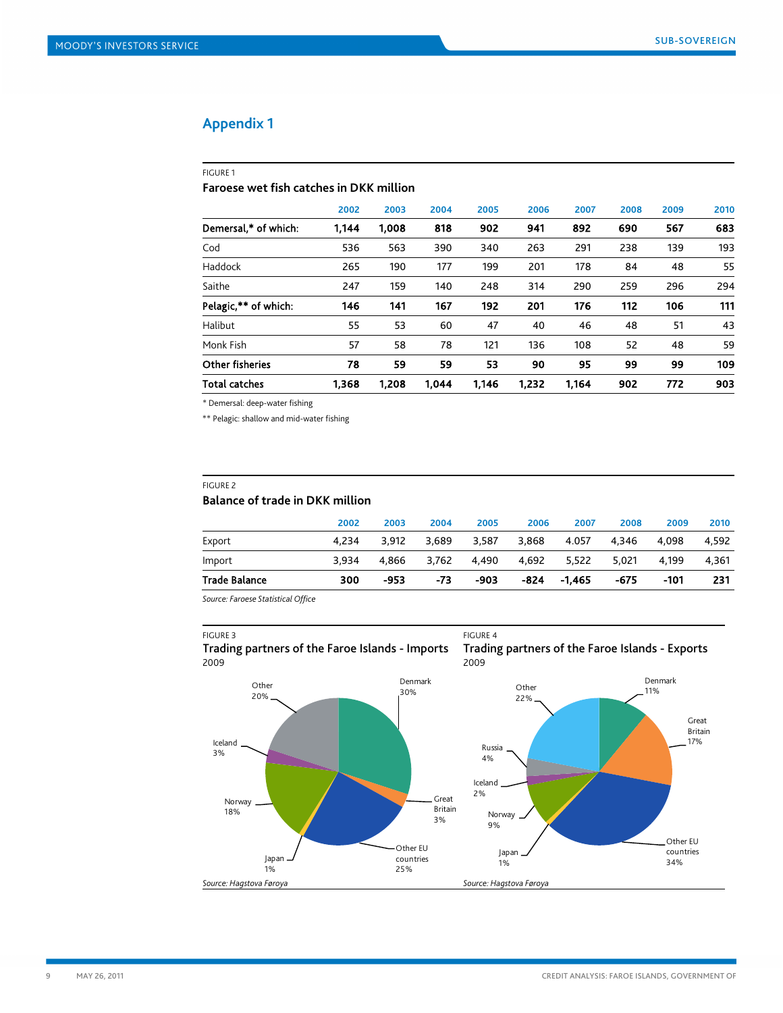# <span id="page-8-0"></span>**Appendix 1**

#### FIGURE 1

**Faroese wet fish catches in DKK million**

|                      | 2002  | 2003  | 2004  | 2005  | 2006  | 2007  | 2008 | 2009 | 2010 |
|----------------------|-------|-------|-------|-------|-------|-------|------|------|------|
| Demersal,* of which: | 1.144 | 1.008 | 818   | 902   | 941   | 892   | 690  | 567  | 683  |
| Cod                  | 536   | 563   | 390   | 340   | 263   | 291   | 238  | 139  | 193  |
| Haddock              | 265   | 190   | 177   | 199   | 201   | 178   | 84   | 48   | 55   |
| Saithe               | 247   | 159   | 140   | 248   | 314   | 290   | 259  | 296  | 294  |
| Pelagic,** of which: | 146   | 141   | 167   | 192   | 201   | 176   | 112  | 106  | 111  |
| Halibut              | 55    | 53    | 60    | 47    | 40    | 46    | 48   | 51   | 43   |
| Monk Fish            | 57    | 58    | 78    | 121   | 136   | 108   | 52   | 48   | 59   |
| Other fisheries      | 78    | 59    | 59    | 53    | 90    | 95    | 99   | 99   | 109  |
| <b>Total catches</b> | 1,368 | 1.208 | 1,044 | 1,146 | 1,232 | 1.164 | 902  | 772  | 903  |

\* Demersal: deep-water fishing

\*\* Pelagic: shallow and mid-water fishing

### FIGURE 2

# **Balance of trade in DKK million**

| Trade Balance | 300   | -953  | -73   | -903  |      | -824 -1,465 | -675         | $-101$ | 231   |
|---------------|-------|-------|-------|-------|------|-------------|--------------|--------|-------|
| Import        | 3.934 | 4.866 |       |       |      |             | 5,021 4,199  |        | 4.361 |
| Export        | 4.234 | 3,912 | 3,689 | 3,587 |      | 3,868 4.057 | 4,346  4,098 |        | 4.592 |
|               | 2002  | 2003  | 2004  | 2005  | 2006 | 2007        | 2008         | 2009   | 2010  |
|               |       |       |       |       |      |             |              |        |       |

*Source: Faroese Statistical Office*

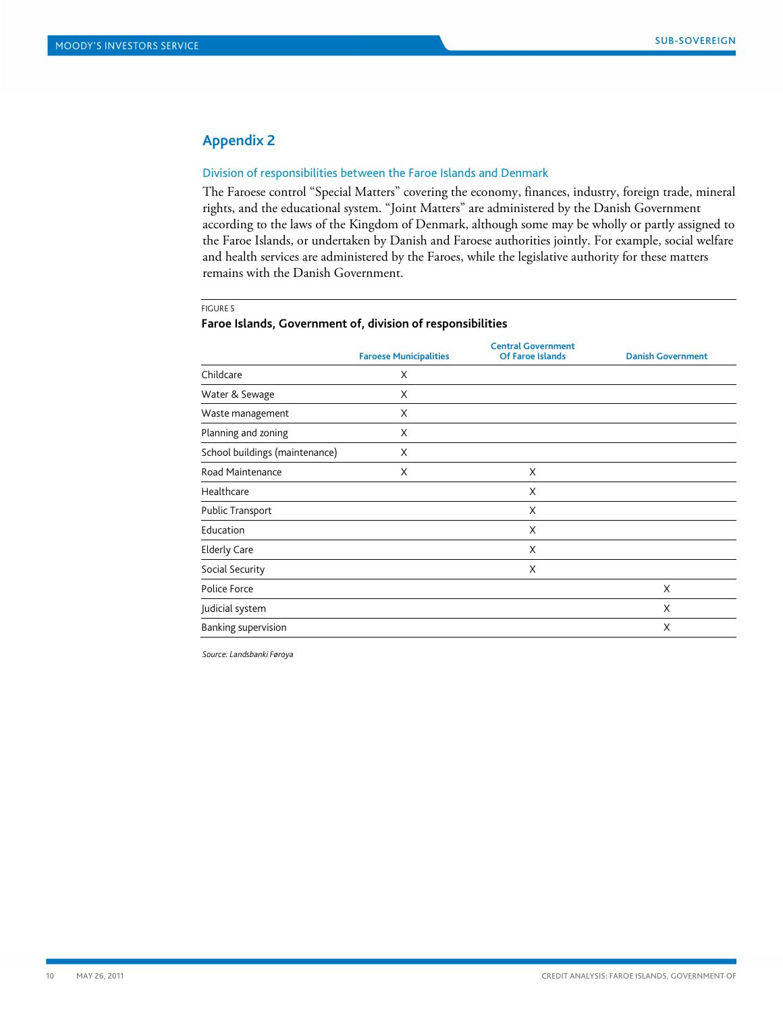# <span id="page-9-0"></span>**Appendix 2**

# Division of responsibilities between the Faroe Islands and Denmark

The Faroese control "Special Matters" covering the economy, finances, industry, foreign trade, mineral rights, and the educational system. "Joint Matters" are administered by the Danish Government according to the laws of the Kingdom of Denmark, although some may be wholly or partly assigned to the Faroe Islands, or undertaken by Danish and Faroese authorities jointly. For example, social welfare and health services are administered by the Faroes, while the legislative authority for these matters remains with the Danish Government.

#### FIGURE 5

# **Faroe Islands, Government of, division of responsibilities**

|                                | <b>Faroese Municipalities</b> | <b>Central Government</b><br><b>Of Faroe Islands</b> | <b>Danish Government</b> |
|--------------------------------|-------------------------------|------------------------------------------------------|--------------------------|
| Childcare                      | X                             |                                                      |                          |
| Water & Sewage                 | X                             |                                                      |                          |
| Waste management               | X                             |                                                      |                          |
| Planning and zoning            | X                             |                                                      |                          |
| School buildings (maintenance) | X                             |                                                      |                          |
| Road Maintenance               | X                             | X                                                    |                          |
| Healthcare                     |                               | X                                                    |                          |
| <b>Public Transport</b>        |                               | X                                                    |                          |
| Education                      |                               | X                                                    |                          |
| <b>Elderly Care</b>            |                               | X                                                    |                          |
| Social Security                |                               | X                                                    |                          |
| Police Force                   |                               |                                                      | X                        |
| Judicial system                |                               |                                                      | X                        |
| <b>Banking supervision</b>     |                               |                                                      | X                        |

*Source: Landsbanki Føroya*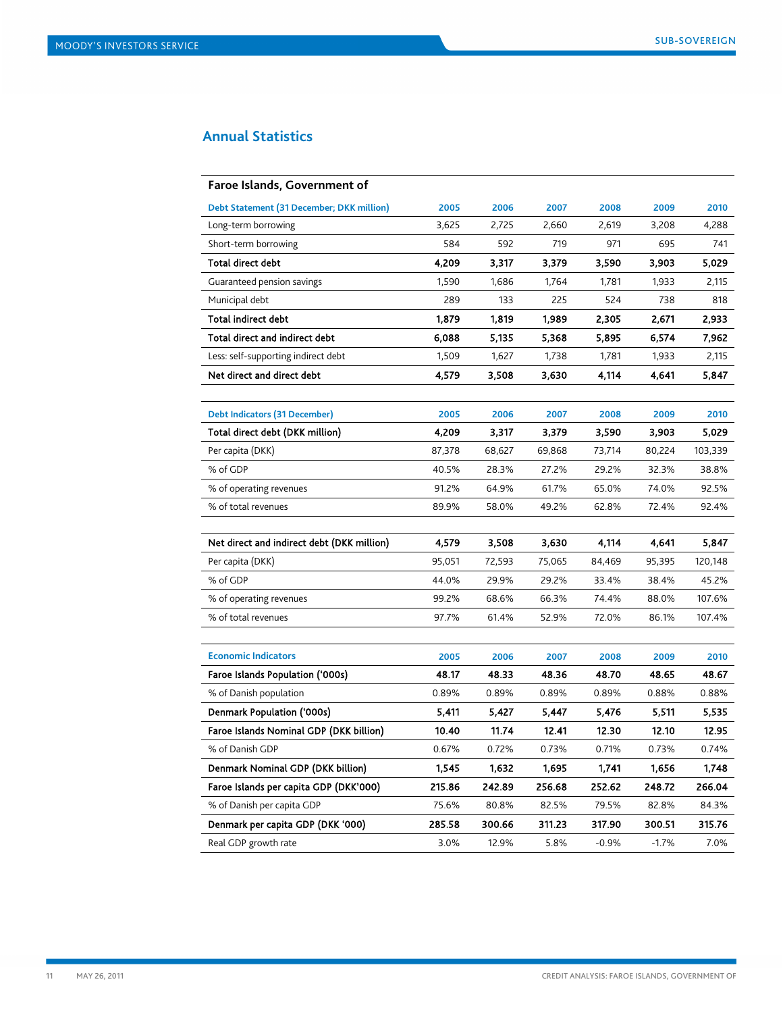# <span id="page-10-0"></span>**Annual Statistics**

| Faroe Islands, Government of               |        |        |        |         |         |         |
|--------------------------------------------|--------|--------|--------|---------|---------|---------|
| Debt Statement (31 December; DKK million)  | 2005   | 2006   | 2007   | 2008    | 2009    | 2010    |
| Long-term borrowing                        | 3,625  | 2,725  | 2,660  | 2,619   | 3,208   | 4,288   |
| Short-term borrowing                       | 584    | 592    | 719    | 971     | 695     | 741     |
| Total direct debt                          | 4,209  | 3,317  | 3,379  | 3,590   | 3,903   | 5,029   |
| Guaranteed pension savings                 | 1,590  | 1,686  | 1,764  | 1,781   | 1,933   | 2,115   |
| Municipal debt                             | 289    | 133    | 225    | 524     | 738     | 818     |
| <b>Total indirect debt</b>                 | 1,879  | 1,819  | 1,989  | 2,305   | 2,671   | 2,933   |
| Total direct and indirect debt             | 6,088  | 5,135  | 5,368  | 5,895   | 6,574   | 7,962   |
| Less: self-supporting indirect debt        | 1,509  | 1,627  | 1,738  | 1,781   | 1,933   | 2,115   |
| Net direct and direct debt                 | 4,579  | 3,508  | 3,630  | 4,114   | 4,641   | 5,847   |
|                                            |        |        |        |         |         |         |
| <b>Debt Indicators (31 December)</b>       | 2005   | 2006   | 2007   | 2008    | 2009    | 2010    |
| Total direct debt (DKK million)            | 4,209  | 3,317  | 3,379  | 3,590   | 3,903   | 5,029   |
| Per capita (DKK)                           | 87,378 | 68,627 | 69,868 | 73,714  | 80,224  | 103,339 |
| % of GDP                                   | 40.5%  | 28.3%  | 27.2%  | 29.2%   | 32.3%   | 38.8%   |
| % of operating revenues                    | 91.2%  | 64.9%  | 61.7%  | 65.0%   | 74.0%   | 92.5%   |
| % of total revenues                        | 89.9%  | 58.0%  | 49.2%  | 62.8%   | 72.4%   | 92.4%   |
|                                            |        |        |        |         |         |         |
| Net direct and indirect debt (DKK million) | 4,579  | 3,508  | 3,630  | 4,114   | 4,641   | 5,847   |
| Per capita (DKK)                           | 95,051 | 72,593 | 75,065 | 84,469  | 95,395  | 120,148 |
| % of GDP                                   | 44.0%  | 29.9%  | 29.2%  | 33.4%   | 38.4%   | 45.2%   |
| % of operating revenues                    | 99.2%  | 68.6%  | 66.3%  | 74.4%   | 88.0%   | 107.6%  |
| % of total revenues                        | 97.7%  | 61.4%  | 52.9%  | 72.0%   | 86.1%   | 107.4%  |
|                                            |        |        |        |         |         |         |
| <b>Economic Indicators</b>                 | 2005   | 2006   | 2007   | 2008    | 2009    | 2010    |
| Faroe Islands Population ('000s)           | 48.17  | 48.33  | 48.36  | 48.70   | 48.65   | 48.67   |
| % of Danish population                     | 0.89%  | 0.89%  | 0.89%  | 0.89%   | 0.88%   | 0.88%   |
| <b>Denmark Population ('000s)</b>          | 5,411  | 5,427  | 5,447  | 5,476   | 5,511   | 5,535   |
| Faroe Islands Nominal GDP (DKK billion)    | 10.40  | 11.74  | 12.41  | 12.30   | 12.10   | 12.95   |
| % of Danish GDP                            | 0.67%  | 0.72%  | 0.73%  | 0.71%   | 0.73%   | 0.74%   |
| Denmark Nominal GDP (DKK billion)          | 1,545  | 1,632  | 1,695  | 1,741   | 1,656   | 1,748   |
| Faroe Islands per capita GDP (DKK'000)     | 215.86 | 242.89 | 256.68 | 252.62  | 248.72  | 266.04  |
| % of Danish per capita GDP                 | 75.6%  | 80.8%  | 82.5%  | 79.5%   | 82.8%   | 84.3%   |
| Denmark per capita GDP (DKK '000)          | 285.58 | 300.66 | 311.23 | 317.90  | 300.51  | 315.76  |
| Real GDP growth rate                       | 3.0%   | 12.9%  | 5.8%   | $-0.9%$ | $-1.7%$ | 7.0%    |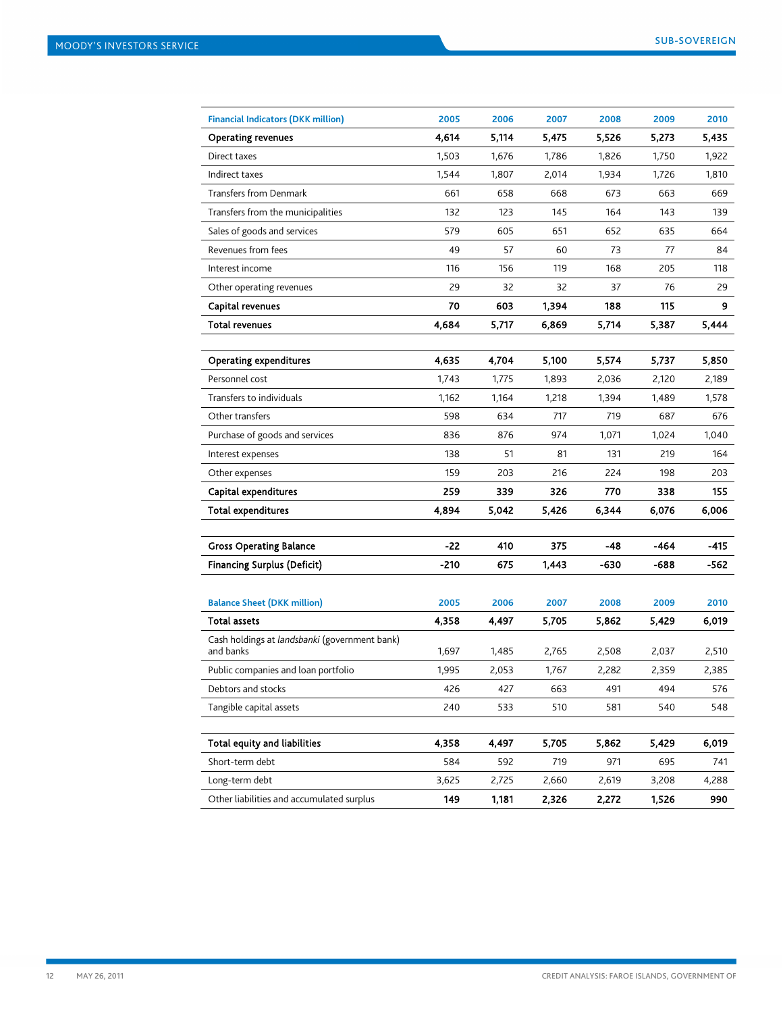| <b>Financial Indicators (DKK million)</b>                  | 2005  | 2006  | 2007  | 2008  | 2009  | 2010   |
|------------------------------------------------------------|-------|-------|-------|-------|-------|--------|
| <b>Operating revenues</b>                                  | 4,614 | 5,114 | 5,475 | 5,526 | 5,273 | 5,435  |
| Direct taxes                                               | 1,503 | 1,676 | 1,786 | 1,826 | 1,750 | 1,922  |
| Indirect taxes                                             | 1,544 | 1,807 | 2,014 | 1,934 | 1,726 | 1,810  |
| <b>Transfers from Denmark</b>                              | 661   | 658   | 668   | 673   | 663   | 669    |
| Transfers from the municipalities                          | 132   | 123   | 145   | 164   | 143   | 139    |
| Sales of goods and services                                | 579   | 605   | 651   | 652   | 635   | 664    |
| Revenues from fees                                         | 49    | 57    | 60    | 73    | 77    | 84     |
| Interest income                                            | 116   | 156   | 119   | 168   | 205   | 118    |
| Other operating revenues                                   | 29    | 32    | 32    | 37    | 76    | 29     |
| Capital revenues                                           | 70    | 603   | 1,394 | 188   | 115   | 9      |
| Total revenues                                             | 4,684 | 5,717 | 6,869 | 5,714 | 5,387 | 5,444  |
|                                                            |       |       |       |       |       |        |
| <b>Operating expenditures</b>                              | 4,635 | 4,704 | 5,100 | 5,574 | 5,737 | 5,850  |
| Personnel cost                                             | 1.743 | 1,775 | 1,893 | 2,036 | 2,120 | 2,189  |
| Transfers to individuals                                   | 1,162 | 1,164 | 1,218 | 1,394 | 1,489 | 1,578  |
| Other transfers                                            | 598   | 634   | 717   | 719   | 687   | 676    |
| Purchase of goods and services                             | 836   | 876   | 974   | 1,071 | 1,024 | 1,040  |
| Interest expenses                                          | 138   | 51    | 81    | 131   | 219   | 164    |
| Other expenses                                             | 159   | 203   | 216   | 224   | 198   | 203    |
| Capital expenditures                                       | 259   | 339   | 326   | 770   | 338   | 155    |
| <b>Total expenditures</b>                                  | 4,894 | 5,042 | 5,426 | 6,344 | 6,076 | 6,006  |
|                                                            |       |       |       |       |       |        |
| <b>Gross Operating Balance</b>                             | -22   | 410   | 375   | -48   | -464  | $-415$ |
| <b>Financing Surplus (Deficit)</b>                         | -210  | 675   | 1,443 | -630  | -688  | -562   |
|                                                            |       |       |       |       |       |        |
| <b>Balance Sheet (DKK million)</b>                         | 2005  | 2006  | 2007  | 2008  | 2009  | 2010   |
| <b>Total assets</b>                                        | 4,358 | 4,497 | 5,705 | 5,862 | 5,429 | 6,019  |
| Cash holdings at landsbanki (government bank)<br>and banks | 1,697 | 1,485 | 2,765 | 2,508 | 2,037 | 2,510  |
| Public companies and loan portfolio                        | 1,995 | 2,053 | 1,767 | 2,282 | 2,359 | 2,385  |
| Debtors and stocks                                         | 426   | 427   | 663   | 491   | 494   | 576    |
| Tangible capital assets                                    | 240   | 533   | 510   | 581   | 540   | 548    |
|                                                            |       |       |       |       |       |        |
| <b>Total equity and liabilities</b>                        | 4,358 | 4,497 | 5,705 | 5,862 | 5,429 | 6,019  |
| Short-term debt                                            | 584   | 592   | 719   | 971   | 695   | 741    |
| Long-term debt                                             | 3,625 | 2,725 | 2,660 | 2,619 | 3,208 | 4,288  |
| Other liabilities and accumulated surplus                  | 149   | 1,181 | 2,326 | 2,272 | 1,526 | 990    |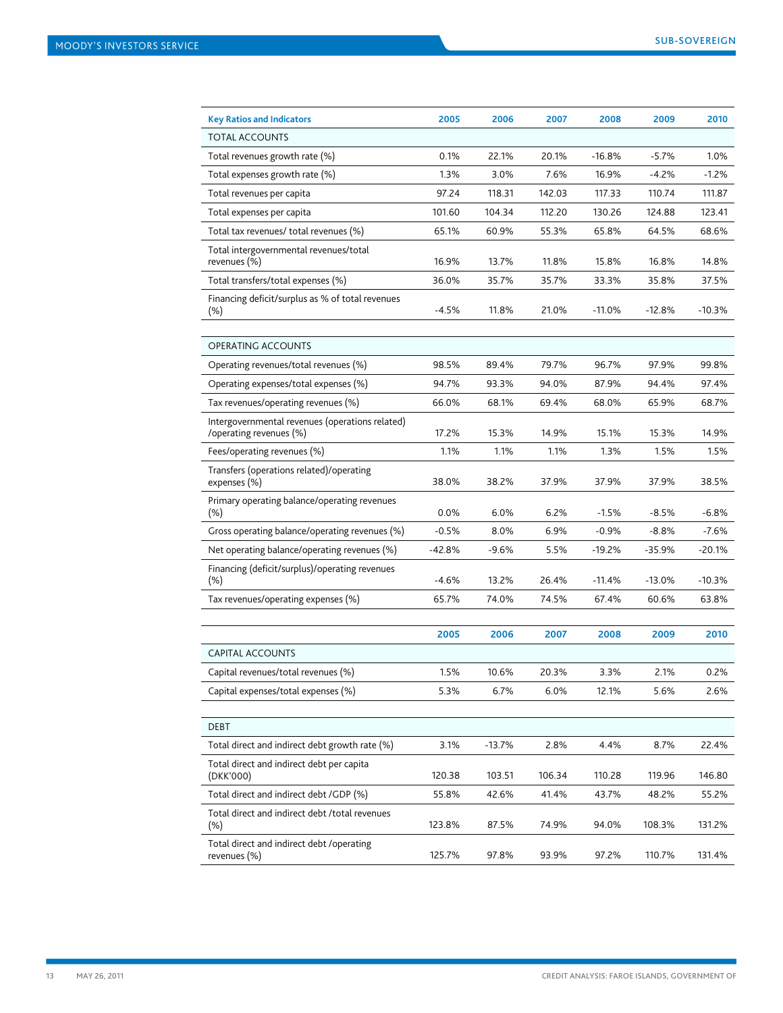| <b>Key Ratios and Indicators</b>                                           | 2005     | 2006     | 2007   | 2008     | 2009     | 2010     |
|----------------------------------------------------------------------------|----------|----------|--------|----------|----------|----------|
| <b>TOTAL ACCOUNTS</b>                                                      |          |          |        |          |          |          |
| Total revenues growth rate (%)                                             | 0.1%     | 22.1%    | 20.1%  | $-16.8%$ | $-5.7%$  | 1.0%     |
| Total expenses growth rate (%)                                             | 1.3%     | 3.0%     | 7.6%   | 16.9%    | $-4.2%$  | $-1.2%$  |
| Total revenues per capita                                                  | 97.24    | 118.31   | 142.03 | 117.33   | 110.74   | 111.87   |
| Total expenses per capita                                                  | 101.60   | 104.34   | 112.20 | 130.26   | 124.88   | 123.41   |
| Total tax revenues/ total revenues (%)                                     | 65.1%    | 60.9%    | 55.3%  | 65.8%    | 64.5%    | 68.6%    |
| Total intergovernmental revenues/total<br>revenues (%)                     | 16.9%    | 13.7%    | 11.8%  | 15.8%    | 16.8%    | 14.8%    |
| Total transfers/total expenses (%)                                         | 36.0%    | 35.7%    | 35.7%  | 33.3%    | 35.8%    | 37.5%    |
| Financing deficit/surplus as % of total revenues<br>$(\%)$                 | $-4.5%$  | 11.8%    | 21.0%  | $-11.0%$ | $-12.8%$ | $-10.3%$ |
| <b>OPERATING ACCOUNTS</b>                                                  |          |          |        |          |          |          |
| Operating revenues/total revenues (%)                                      | 98.5%    | 89.4%    | 79.7%  | 96.7%    | 97.9%    | 99.8%    |
| Operating expenses/total expenses (%)                                      | 94.7%    | 93.3%    | 94.0%  | 87.9%    | 94.4%    | 97.4%    |
| Tax revenues/operating revenues (%)                                        | 66.0%    | 68.1%    | 69.4%  | 68.0%    | 65.9%    | 68.7%    |
| Intergovernmental revenues (operations related)<br>/operating revenues (%) | 17.2%    | 15.3%    | 14.9%  | 15.1%    | 15.3%    | 14.9%    |
| Fees/operating revenues (%)                                                | 1.1%     | 1.1%     | 1.1%   | 1.3%     | 1.5%     | 1.5%     |
| Transfers (operations related)/operating<br>expenses (%)                   | 38.0%    | 38.2%    | 37.9%  | 37.9%    | 37.9%    | 38.5%    |
| Primary operating balance/operating revenues<br>$(\%)$                     | 0.0%     | 6.0%     | 6.2%   | $-1.5%$  | $-8.5%$  | $-6.8%$  |
| Gross operating balance/operating revenues (%)                             | $-0.5%$  | 8.0%     | 6.9%   | $-0.9%$  | $-8.8%$  | $-7.6%$  |
| Net operating balance/operating revenues (%)                               | $-42.8%$ | $-9.6%$  | 5.5%   | $-19.2%$ | $-35.9%$ | -20.1%   |
| Financing (deficit/surplus)/operating revenues<br>(%)                      | $-4.6%$  | 13.2%    | 26.4%  | $-11.4%$ | -13.0%   | $-10.3%$ |
| Tax revenues/operating expenses (%)                                        | 65.7%    | 74.0%    | 74.5%  | 67.4%    | 60.6%    | 63.8%    |
|                                                                            |          |          |        |          |          |          |
|                                                                            | 2005     | 2006     | 2007   | 2008     | 2009     | 2010     |
| <b>CAPITAL ACCOUNTS</b>                                                    |          |          |        |          |          |          |
| Capital revenues/total revenues (%)                                        | 1.5%     | 10.6%    | 20.3%  | 3.3%     | 2.1%     | 0.2%     |
| Capital expenses/total expenses (%)                                        | 5.3%     | 6.7%     | 6.0%   | 12.1%    | 5.6%     | 2.6%     |
| DEBT                                                                       |          |          |        |          |          |          |
| Total direct and indirect debt growth rate (%)                             | 3.1%     | $-13.7%$ | 2.8%   | 4.4%     | 8.7%     | 22.4%    |
| Total direct and indirect debt per capita<br>(DKK'000)                     | 120.38   | 103.51   | 106.34 | 110.28   | 119.96   | 146.80   |
| Total direct and indirect debt /GDP (%)                                    | 55.8%    | 42.6%    | 41.4%  | 43.7%    | 48.2%    | 55.2%    |
| Total direct and indirect debt /total revenues<br>(% )                     | 123.8%   | 87.5%    | 74.9%  | 94.0%    | 108.3%   | 131.2%   |
| Total direct and indirect debt /operating<br>revenues (%)                  | 125.7%   | 97.8%    | 93.9%  | 97.2%    | 110.7%   | 131.4%   |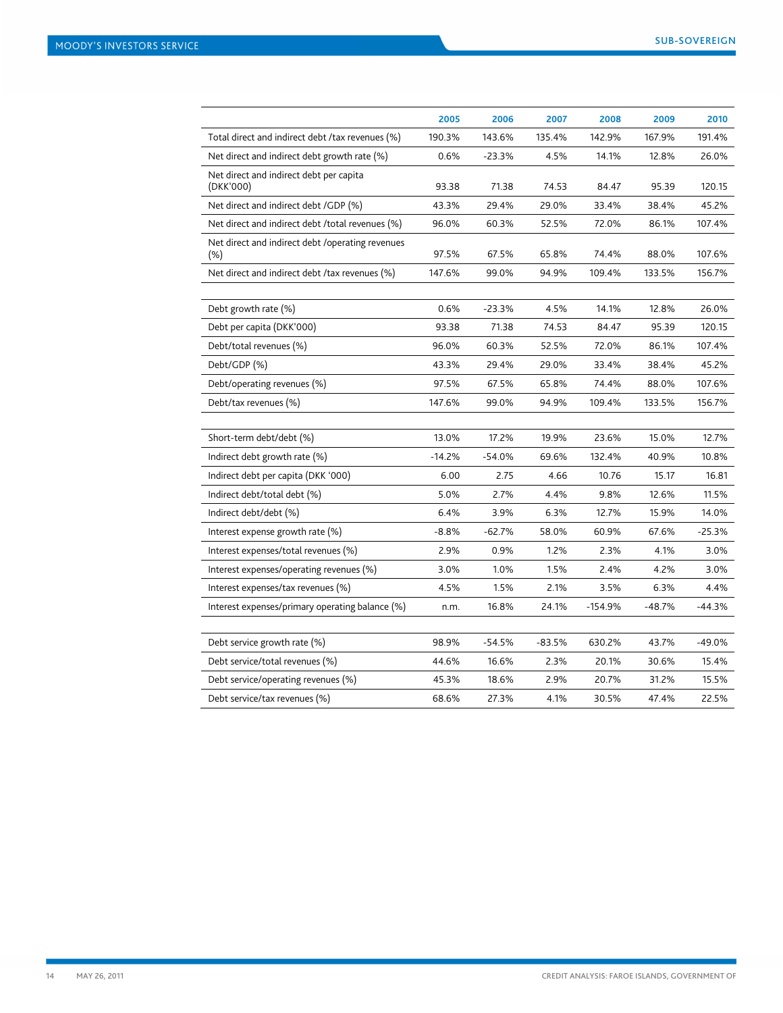|                                                         | 2005     | 2006     | 2007     | 2008      | 2009     | 2010     |
|---------------------------------------------------------|----------|----------|----------|-----------|----------|----------|
| Total direct and indirect debt /tax revenues (%)        | 190.3%   | 143.6%   | 135.4%   | 142.9%    | 167.9%   | 191.4%   |
| Net direct and indirect debt growth rate (%)            | 0.6%     | $-23.3%$ | 4.5%     | 14.1%     | 12.8%    | 26.0%    |
| Net direct and indirect debt per capita<br>(DKK'000)    | 93.38    | 71.38    | 74.53    | 84.47     | 95.39    | 120.15   |
| Net direct and indirect debt /GDP (%)                   | 43.3%    | 29.4%    | 29.0%    | 33.4%     | 38.4%    | 45.2%    |
| Net direct and indirect debt /total revenues (%)        | 96.0%    | 60.3%    | 52.5%    | 72.0%     | 86.1%    | 107.4%   |
| Net direct and indirect debt /operating revenues<br>(%) | 97.5%    | 67.5%    | 65.8%    | 74.4%     | 88.0%    | 107.6%   |
| Net direct and indirect debt /tax revenues (%)          | 147.6%   | 99.0%    | 94.9%    | 109.4%    | 133.5%   | 156.7%   |
|                                                         |          |          |          |           |          |          |
| Debt growth rate (%)                                    | 0.6%     | $-23.3%$ | 4.5%     | 14.1%     | 12.8%    | 26.0%    |
| Debt per capita (DKK'000)                               | 93.38    | 71.38    | 74.53    | 84.47     | 95.39    | 120.15   |
| Debt/total revenues (%)                                 | 96.0%    | 60.3%    | 52.5%    | 72.0%     | 86.1%    | 107.4%   |
| Debt/GDP (%)                                            | 43.3%    | 29.4%    | 29.0%    | 33.4%     | 38.4%    | 45.2%    |
| Debt/operating revenues (%)                             | 97.5%    | 67.5%    | 65.8%    | 74.4%     | 88.0%    | 107.6%   |
| Debt/tax revenues (%)                                   | 147.6%   | 99.0%    | 94.9%    | 109.4%    | 133.5%   | 156.7%   |
|                                                         |          |          |          |           |          |          |
| Short-term debt/debt (%)                                | 13.0%    | 17.2%    | 19.9%    | 23.6%     | 15.0%    | 12.7%    |
| Indirect debt growth rate (%)                           | $-14.2%$ | $-54.0%$ | 69.6%    | 132.4%    | 40.9%    | 10.8%    |
| Indirect debt per capita (DKK '000)                     | 6.00     | 2.75     | 4.66     | 10.76     | 15.17    | 16.81    |
| Indirect debt/total debt (%)                            | 5.0%     | 2.7%     | 4.4%     | 9.8%      | 12.6%    | 11.5%    |
| Indirect debt/debt (%)                                  | 6.4%     | 3.9%     | 6.3%     | 12.7%     | 15.9%    | 14.0%    |
| Interest expense growth rate (%)                        | $-8.8%$  | $-62.7%$ | 58.0%    | 60.9%     | 67.6%    | -25.3%   |
| Interest expenses/total revenues (%)                    | 2.9%     | 0.9%     | 1.2%     | 2.3%      | 4.1%     | 3.0%     |
| Interest expenses/operating revenues (%)                | 3.0%     | 1.0%     | 1.5%     | 2.4%      | 4.2%     | 3.0%     |
| Interest expenses/tax revenues (%)                      | 4.5%     | 1.5%     | 2.1%     | 3.5%      | 6.3%     | 4.4%     |
| Interest expenses/primary operating balance (%)         | n.m.     | 16.8%    | 24.1%    | $-154.9%$ | $-48.7%$ | $-44.3%$ |
|                                                         |          |          |          |           |          |          |
| Debt service growth rate (%)                            | 98.9%    | -54.5%   | $-83.5%$ | 630.2%    | 43.7%    | $-49.0%$ |
| Debt service/total revenues (%)                         | 44.6%    | 16.6%    | 2.3%     | 20.1%     | 30.6%    | 15.4%    |
| Debt service/operating revenues (%)                     | 45.3%    | 18.6%    | 2.9%     | 20.7%     | 31.2%    | 15.5%    |
| Debt service/tax revenues (%)                           | 68.6%    | 27.3%    | 4.1%     | 30.5%     | 47.4%    | 22.5%    |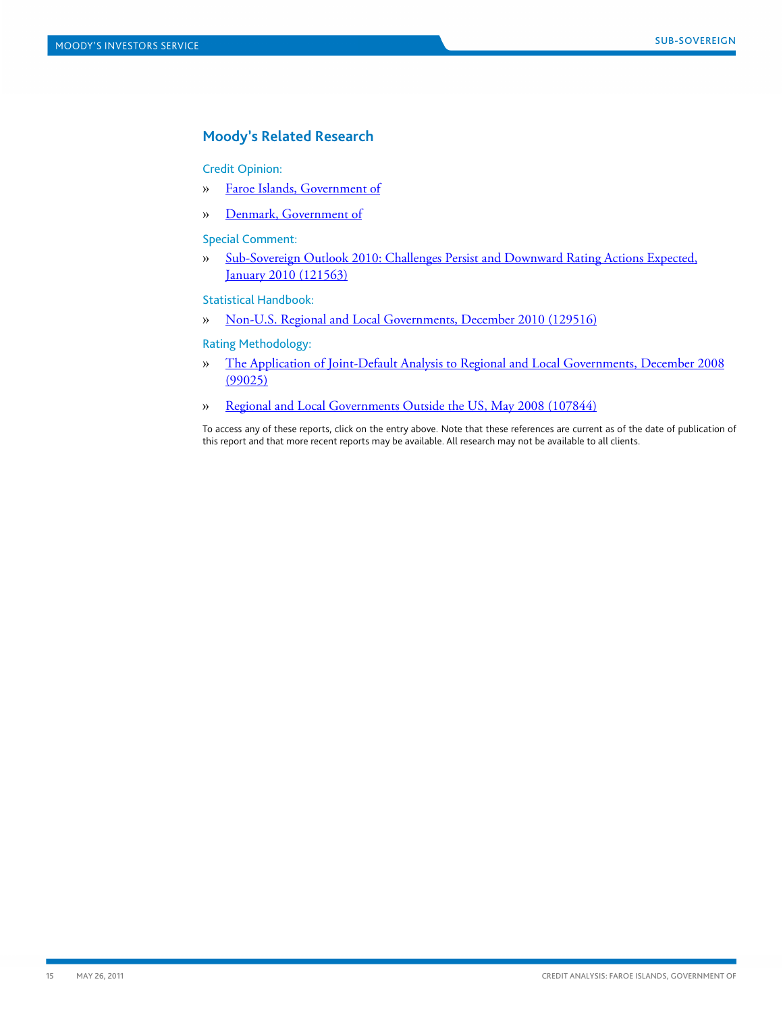# <span id="page-14-0"></span>**Moody's Related Research**

# Credit Opinion:

- » [Faroe Islands, Government of](http://www.moodys.com/viewresearchdoc.aspx?lang=en&cy=global&docid=COP_820828907)
- » [Denmark, Government of](http://www.moodys.com/viewresearchdoc.aspx?docid=COP_230700)

# Special Comment:

» [Sub-Sovereign Outlook 2010: Challenges Persist and Downward Rating Actions Expected,](http://www.moodys.com/viewresearchdoc.aspx?docid=PBC_121563)  [January 2010 \(121563\)](http://www.moodys.com/viewresearchdoc.aspx?docid=PBC_121563)

# Statistical Handbook:

» [Non-U.S. Regional and Local Governments, December 2010 \(129516\)](http://www.moodys.com/viewresearchdoc.aspx?docid=PBC_129516)

# Rating Methodology:

- » [The Application of Joint-Default Analysis to Regional and Local Governments, December 2008](http://www.moodys.com/viewresearchdoc.aspx?docid=PBC_99025)  [\(99025\)](http://www.moodys.com/viewresearchdoc.aspx?docid=PBC_99025)
- » [Regional and Local Governments Outside the US, May 2008 \(107844\)](http://www.moodys.com/viewresearchdoc.aspx?docid=PBC_107844)

To access any of these reports, click on the entry above. Note that these references are current as of the date of publication of this report and that more recent reports may be available. All research may not be available to all clients.